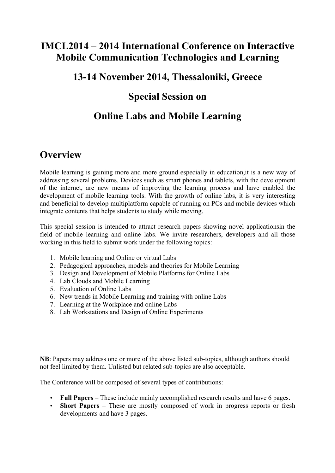## **IMCL2014 – 2014 International Conference on Interactive Mobile Communication Technologies and Learning**

## **13-14 November 2014, Thessaloniki, Greece**

## **Special Session on**

# **Online Labs and Mobile Learning**

## **Overview**

Mobile learning is gaining more and more ground especially in education,it is a new way of addressing several problems. Devices such as smart phones and tablets, with the development of the internet, are new means of improving the learning process and have enabled the development of mobile learning tools. With the growth of online labs, it is very interesting and beneficial to develop multiplatform capable of running on PCs and mobile devices which integrate contents that helps students to study while moving.

This special session is intended to attract research papers showing novel applicationsin the field of mobile learning and online labs. We invite researchers, developers and all those working in this field to submit work under the following topics:

- 1. Mobile learning and Online or virtual Labs
- 2. Pedagogical approaches, models and theories for Mobile Learning
- 3. Design and Development of Mobile Platforms for Online Labs
- 4. Lab Clouds and Mobile Learning
- 5. Evaluation of Online Labs
- 6. New trends in Mobile Learning and training with online Labs
- 7. Learning at the Workplace and online Labs
- 8. Lab Workstations and Design of Online Experiments

**NB**: Papers may address one or more of the above listed sub-topics, although authors should not feel limited by them. Unlisted but related sub-topics are also acceptable.

The Conference will be composed of several types of contributions:

- **Full Papers** These include mainly accomplished research results and have 6 pages.
- **Short Papers** These are mostly composed of work in progress reports or fresh developments and have 3 pages.